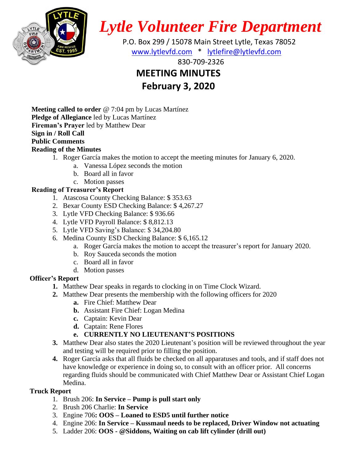

*Lytle Volunteer Fire Department*

 P.O. Box 299 / 15078 Main Street Lytle, Texas 78052 [www.lytlevfd.com](http://www.lytlevfd.com/) \* [lytlefire@lytlevfd.com](mailto:lytlefire@lytlevfd.com)

830-709-2326

# **MEETING MINUTES**

**February 3, 2020**

**Meeting called to order** @ 7:04 pm by Lucas Martínez **Pledge of Allegiance** led by Lucas Martínez **Fireman's Prayer** led by Matthew Dear **Sign in / Roll Call Public Comments**

# **Reading of the Minutes**

- 1. Roger García makes the motion to accept the meeting minutes for January 6, 2020.
	- a. Vanessa López seconds the motion
	- b. Board all in favor
	- c. Motion passes

# **Reading of Treasurer's Report**

- 1. Atascosa County Checking Balance: \$ 353.63
- 2. Bexar County ESD Checking Balance: \$ 4,267.27
- 3. Lytle VFD Checking Balance: \$ 936.66
- 4. Lytle VFD Payroll Balance: \$ 8,812.13
- 5. Lytle VFD Saving's Balance: \$ 34,204.80
- 6. Medina County ESD Checking Balance: \$ 6,165.12
	- a. Roger García makes the motion to accept the treasurer's report for January 2020.
	- b. Roy Sauceda seconds the motion
	- c. Board all in favor
	- d. Motion passes

# **Officer's Report**

- **1.** Matthew Dear speaks in regards to clocking in on Time Clock Wizard.
- **2.** Matthew Dear presents the membership with the following officers for 2020
	- **a.** Fire Chief: Matthew Dear
	- **b.** Assistant Fire Chief: Logan Medina
	- **c.** Captain: Kevin Dear
	- **d.** Captain: Rene Flores

# **e. CURRENTLY NO LIEUTENANT'S POSITIONS**

- **3.** Matthew Dear also states the 2020 Lieutenant's position will be reviewed throughout the year and testing will be required prior to filling the position.
- **4.** Roger García asks that all fluids be checked on all apparatuses and tools, and if staff does not have knowledge or experience in doing so, to consult with an officer prior. All concerns regarding fluids should be communicated with Chief Matthew Dear or Assistant Chief Logan Medina.

# **Truck Report**

- 1. Brush 206: **In Service – Pump is pull start only**
- 2. Brush 206 Charlie: **In Service**
- 3. Engine 706**: OOS – Loaned to ESD5 until further notice**
- 4. Engine 206: **In Service – Kussmaul needs to be replaced, Driver Window not actuating**
- 5. Ladder 206: **OOS - @Siddons, Waiting on cab lift cylinder (drill out)**